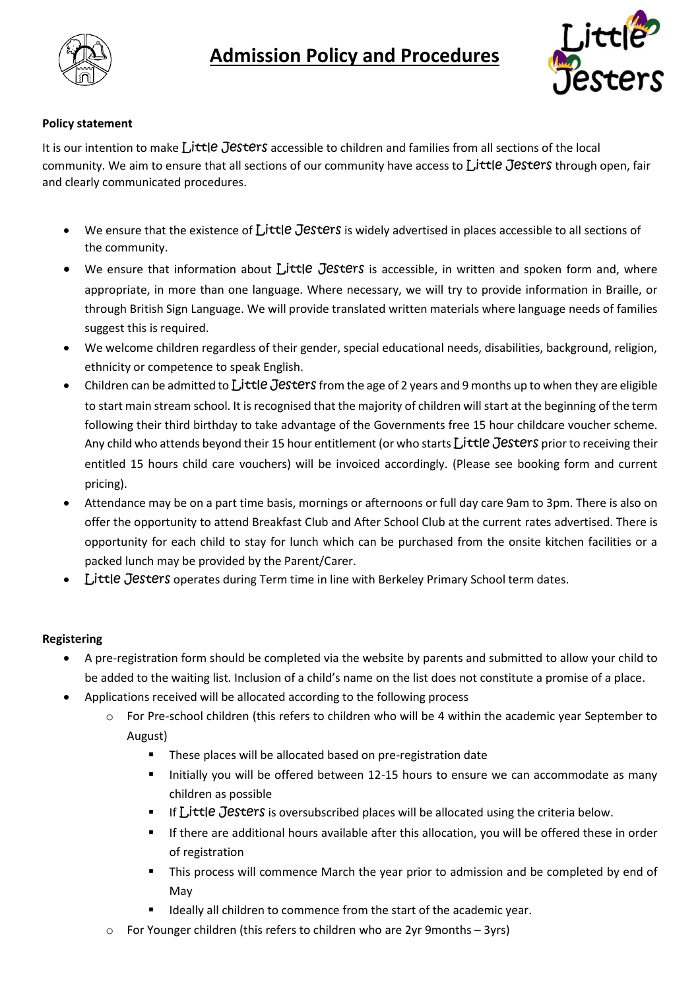

# **Admission Policy and Procedures**



### **Policy statement**

It is our intention to make Little Jesters accessible to children and families from all sections of the local community. We aim to ensure that all sections of our community have access to Little Jesters through open, fair and clearly communicated procedures.

- We ensure that the existence of  $\int$ **jttle Jesters** is widely advertised in places accessible to all sections of the community.
- We ensure that information about Little Jesters is accessible, in written and spoken form and, where appropriate, in more than one language. Where necessary, we will try to provide information in Braille, or through British Sign Language. We will provide translated written materials where language needs of families suggest this is required.
- We welcome children regardless of their gender, special educational needs, disabilities, background, religion, ethnicity or competence to speak English.
- Children can be admitted to  $L$ ittle Jesters from the age of 2 years and 9 months up to when they are eligible to start main stream school. It is recognised that the majority of children will start at the beginning of the term following their third birthday to take advantage of the Governments free 15 hour childcare voucher scheme. Any child who attends beyond their 15 hour entitlement (or who starts Little Jesters prior to receiving their entitled 15 hours child care vouchers) will be invoiced accordingly. (Please see booking form and current pricing).
- Attendance may be on a part time basis, mornings or afternoons or full day care 9am to 3pm. There is also on offer the opportunity to attend Breakfast Club and After School Club at the current rates advertised. There is opportunity for each child to stay for lunch which can be purchased from the onsite kitchen facilities or a packed lunch may be provided by the Parent/Carer.
- Little Jesters operates during Term time in line with Berkeley Primary School term dates.

#### **Registering**

- A pre-registration form should be completed via the website by parents and submitted to allow your child to be added to the waiting list. Inclusion of a child's name on the list does not constitute a promise of a place.
- Applications received will be allocated according to the following process
	- o For Pre-school children (this refers to children who will be 4 within the academic year September to August)
		- **These places will be allocated based on pre-registration date**
		- Initially you will be offered between 12-15 hours to ensure we can accommodate as many children as possible
		- If  $L$ ittle Jesters is oversubscribed places will be allocated using the criteria below.
		- If there are additional hours available after this allocation, you will be offered these in order of registration
		- **This process will commence March the year prior to admission and be completed by end of** May
		- Ideally all children to commence from the start of the academic year.
	- o For Younger children (this refers to children who are 2yr 9months 3yrs)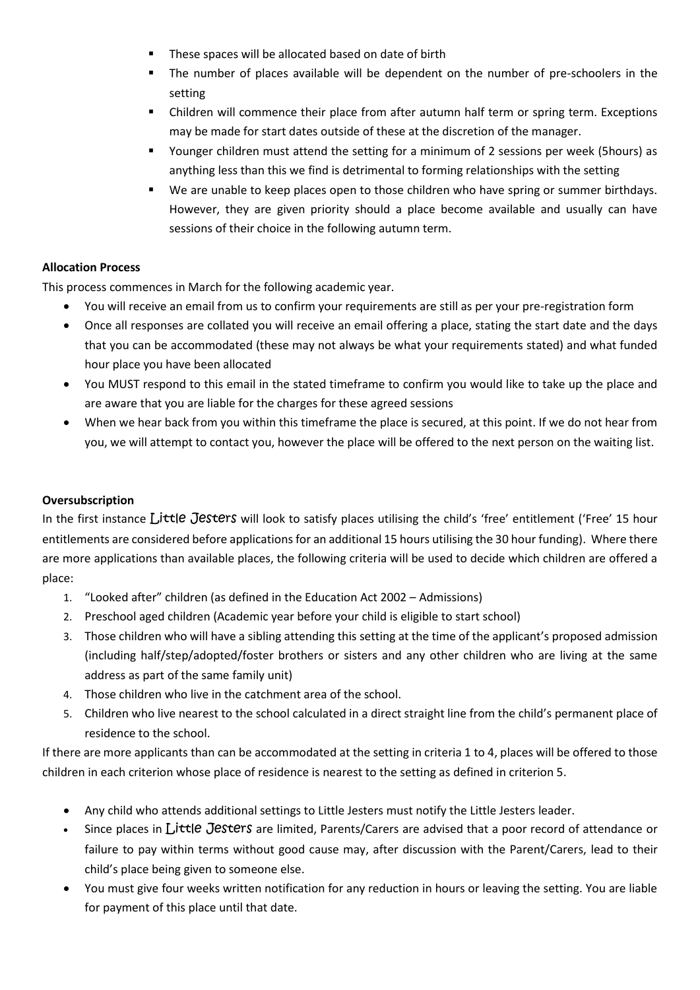- These spaces will be allocated based on date of birth
- The number of places available will be dependent on the number of pre-schoolers in the setting
- Children will commence their place from after autumn half term or spring term. Exceptions may be made for start dates outside of these at the discretion of the manager.
- Younger children must attend the setting for a minimum of 2 sessions per week (5hours) as anything less than this we find is detrimental to forming relationships with the setting
- We are unable to keep places open to those children who have spring or summer birthdays. However, they are given priority should a place become available and usually can have sessions of their choice in the following autumn term.

### **Allocation Process**

This process commences in March for the following academic year.

- You will receive an email from us to confirm your requirements are still as per your pre-registration form
- Once all responses are collated you will receive an email offering a place, stating the start date and the days that you can be accommodated (these may not always be what your requirements stated) and what funded hour place you have been allocated
- You MUST respond to this email in the stated timeframe to confirm you would like to take up the place and are aware that you are liable for the charges for these agreed sessions
- When we hear back from you within this timeframe the place is secured, at this point. If we do not hear from you, we will attempt to contact you, however the place will be offered to the next person on the waiting list.

## **Oversubscription**

In the first instance Little Jesters will look to satisfy places utilising the child's 'free' entitlement ('Free' 15 hour entitlements are considered before applications for an additional 15 hours utilising the 30 hour funding). Where there are more applications than available places, the following criteria will be used to decide which children are offered a place:

- 1. "Looked after" children (as defined in the Education Act 2002 Admissions)
- 2. Preschool aged children (Academic year before your child is eligible to start school)
- 3. Those children who will have a sibling attending this setting at the time of the applicant's proposed admission (including half/step/adopted/foster brothers or sisters and any other children who are living at the same address as part of the same family unit)
- 4. Those children who live in the catchment area of the school.
- 5. Children who live nearest to the school calculated in a direct straight line from the child's permanent place of residence to the school.

If there are more applicants than can be accommodated at the setting in criteria 1 to 4, places will be offered to those children in each criterion whose place of residence is nearest to the setting as defined in criterion 5.

- Any child who attends additional settings to Little Jesters must notify the Little Jesters leader.
- Since places in Little Jesters are limited, Parents/Carers are advised that a poor record of attendance or failure to pay within terms without good cause may, after discussion with the Parent/Carers, lead to their child's place being given to someone else.
- You must give four weeks written notification for any reduction in hours or leaving the setting. You are liable for payment of this place until that date.